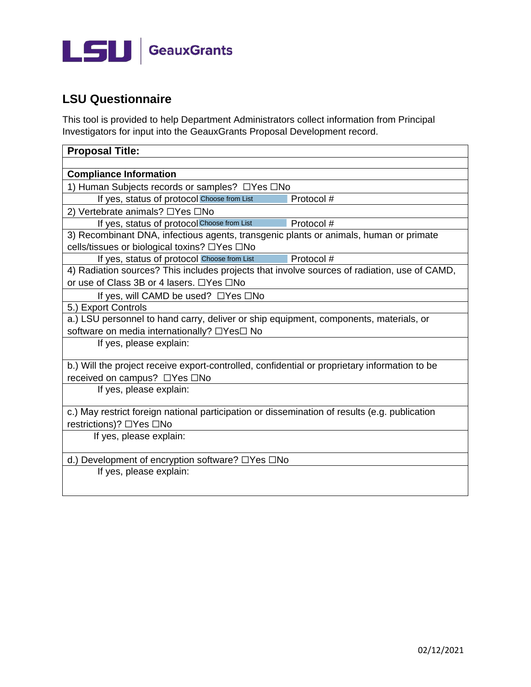

## **LSU Questionnaire**

This tool is provided to help Department Administrators collect information from Principal Investigators for input into the GeauxGrants Proposal Development record.

| <b>Proposal Title:</b>                                                                        |  |  |  |  |
|-----------------------------------------------------------------------------------------------|--|--|--|--|
|                                                                                               |  |  |  |  |
| <b>Compliance Information</b>                                                                 |  |  |  |  |
| 1) Human Subjects records or samples? □Yes □No                                                |  |  |  |  |
| If yes, status of protocol Choose from List<br>Protocol #                                     |  |  |  |  |
| 2) Vertebrate animals? □Yes □No                                                               |  |  |  |  |
| If yes, status of protocol Choose from List<br>Protocol #                                     |  |  |  |  |
| 3) Recombinant DNA, infectious agents, transgenic plants or animals, human or primate         |  |  |  |  |
| cells/tissues or biological toxins? □Yes □No                                                  |  |  |  |  |
| Protocol #<br>If yes, status of protocol Choose from List                                     |  |  |  |  |
| 4) Radiation sources? This includes projects that involve sources of radiation, use of CAMD,  |  |  |  |  |
| or use of Class 3B or 4 lasers. □Yes □No                                                      |  |  |  |  |
| If yes, will CAMD be used? $\Box$ Yes $\Box$ No                                               |  |  |  |  |
| 5.) Export Controls                                                                           |  |  |  |  |
| a.) LSU personnel to hand carry, deliver or ship equipment, components, materials, or         |  |  |  |  |
| software on media internationally? □Yes□ No                                                   |  |  |  |  |
| If yes, please explain:                                                                       |  |  |  |  |
|                                                                                               |  |  |  |  |
| b.) Will the project receive export-controlled, confidential or proprietary information to be |  |  |  |  |
| received on campus? □Yes □No<br>If yes, please explain:                                       |  |  |  |  |
|                                                                                               |  |  |  |  |
| c.) May restrict foreign national participation or dissemination of results (e.g. publication |  |  |  |  |
| restrictions)? □Yes □No                                                                       |  |  |  |  |
| If yes, please explain:                                                                       |  |  |  |  |
|                                                                                               |  |  |  |  |
| d.) Development of encryption software? $\Box$ Yes $\Box$ No                                  |  |  |  |  |
| If yes, please explain:                                                                       |  |  |  |  |
|                                                                                               |  |  |  |  |
|                                                                                               |  |  |  |  |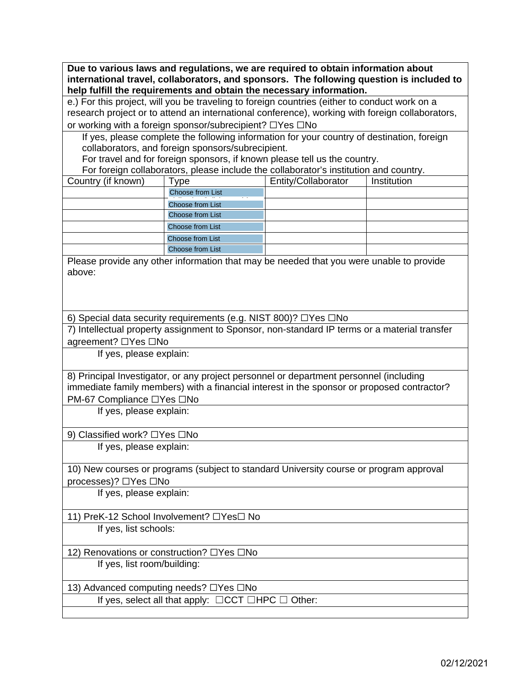**Due to various laws and regulations, we are required to obtain information about international travel, collaborators, and sponsors. The following question is included to help fulfill the requirements and obtain the necessary information.**

e.) For this project, will you be traveling to foreign countries (either to conduct work on a research project or to attend an international conference), working with foreign collaborators, or working with a foreign sponsor/subrecipient? ☐Yes ☐No

If yes, please complete the following information for your country of destination, foreign collaborators, and foreign sponsors/subrecipient.

For travel and for foreign sponsors, if known please tell us the country.

For foreign collaborators, please include the collaborator's institution and country.

| Country (if known) | <b>vpe</b>              | Entity/Collaborator | Institution |
|--------------------|-------------------------|---------------------|-------------|
|                    | <b>Choose from List</b> |                     |             |
|                    | Choose from List        |                     |             |
|                    | <b>Choose from List</b> |                     |             |
|                    | <b>Choose from List</b> |                     |             |
|                    | Choose from List        |                     |             |
|                    | <b>Choose from List</b> |                     |             |

Please provide any other information that may be needed that you were unable to provide above:

6) Special data security requirements (e.g. NIST 800)? ☐Yes ☐No

7) Intellectual property assignment to Sponsor, non-standard IP terms or a material transfer agreement? □Yes □No

If yes, please explain:

8) Principal Investigator, or any project personnel or department personnel (including immediate family members) with a financial interest in the sponsor or proposed contractor? PM-67 Compliance ☐Yes ☐No

If yes, please explain:

9) Classified work? □Yes □No

If yes, please explain:

10) New courses or programs (subject to standard University course or program approval processes)? ☐Yes ☐No

If yes, please explain:

11) PreK-12 School Involvement? ☐Yes☐ No

If yes, list schools:

12) Renovations or construction? □Yes □No

If yes, list room/building:

13) Advanced computing needs? ☐Yes ☐No

If yes, select all that apply:  $\Box$ CCT  $\Box$ HPC  $\Box$  Other: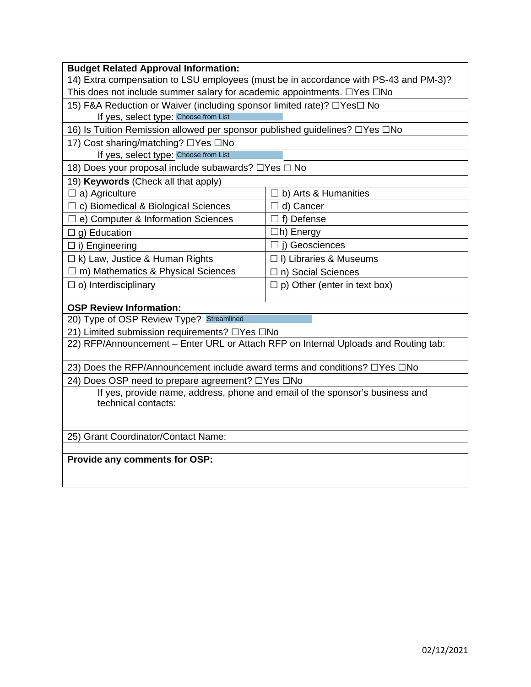| <b>Budget Related Approval Information:</b>                                                         |                                     |  |  |  |
|-----------------------------------------------------------------------------------------------------|-------------------------------------|--|--|--|
| 14) Extra compensation to LSU employees (must be in accordance with PS-43 and PM-3)?                |                                     |  |  |  |
| This does not include summer salary for academic appointments. $\Box$ Yes $\Box$ No                 |                                     |  |  |  |
| 15) F&A Reduction or Waiver (including sponsor limited rate)? □Yes□ No                              |                                     |  |  |  |
| If yes, select type: Choose from List                                                               |                                     |  |  |  |
| 16) Is Tuition Remission allowed per sponsor published guidelines? □Yes □No                         |                                     |  |  |  |
| 17) Cost sharing/matching? □Yes □No                                                                 |                                     |  |  |  |
| If yes, select type: Choose from List                                                               |                                     |  |  |  |
| 18) Does your proposal include subawards? □Yes □ No                                                 |                                     |  |  |  |
| 19) Keywords (Check all that apply)                                                                 |                                     |  |  |  |
| a) Agriculture                                                                                      | b) Arts & Humanities                |  |  |  |
| $\Box$ c) Biomedical & Biological Sciences                                                          | $\Box$ d) Cancer                    |  |  |  |
| e) Computer & Information Sciences                                                                  | $\Box$ f) Defense                   |  |  |  |
| g) Education<br>$\Box$                                                                              | $\Box$ h) Energy                    |  |  |  |
| $\Box$ i) Engineering                                                                               | $\Box$ j) Geosciences               |  |  |  |
| $\Box$ k) Law, Justice & Human Rights                                                               | □ I) Libraries & Museums            |  |  |  |
| $\Box$ m) Mathematics & Physical Sciences                                                           | $\Box$ n) Social Sciences           |  |  |  |
| $\Box$ o) Interdisciplinary                                                                         | $\Box$ p) Other (enter in text box) |  |  |  |
|                                                                                                     |                                     |  |  |  |
| <b>OSP Review Information:</b>                                                                      |                                     |  |  |  |
| 20) Type of OSP Review Type? Streamlined                                                            |                                     |  |  |  |
| 21) Limited submission requirements? □Yes □No                                                       |                                     |  |  |  |
| 22) RFP/Announcement - Enter URL or Attach RFP on Internal Uploads and Routing tab:                 |                                     |  |  |  |
| 23) Does the RFP/Announcement include award terms and conditions? □Yes □No                          |                                     |  |  |  |
| 24) Does OSP need to prepare agreement? □Yes □No                                                    |                                     |  |  |  |
| If yes, provide name, address, phone and email of the sponsor's business and<br>technical contacts: |                                     |  |  |  |
|                                                                                                     |                                     |  |  |  |
| 25) Grant Coordinator/Contact Name:                                                                 |                                     |  |  |  |
|                                                                                                     |                                     |  |  |  |
| Provide any comments for OSP:                                                                       |                                     |  |  |  |
|                                                                                                     |                                     |  |  |  |